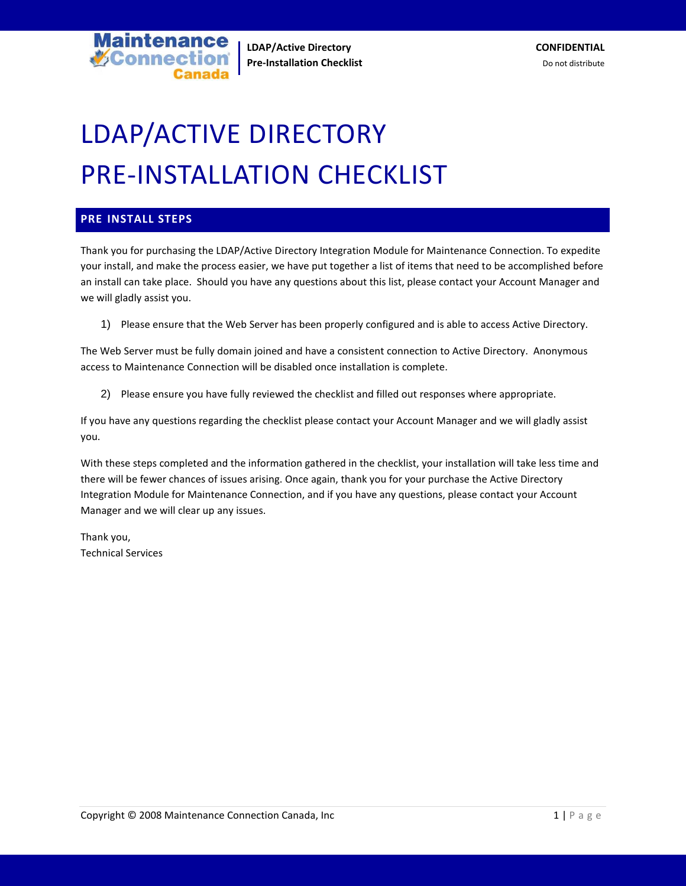**LDAP/Active Directory CONFIDENTIAL Pre-Installation Checklist Do not distribute** Do not distribute

# LDAP/ACTIVE DIRECTORY PRE-INSTALLATION CHECKLIST

### **PRE-INSTALL STEPS**

**V**Connect

ntenance

Thank you for purchasing the LDAP/Active Directory Integration Module for Maintenance Connection. To expedite your install, and make the process easier, we have put together a list of items that need to be accomplished before an install can take place. Should you have any questions about this list, please contact your Account Manager and we will gladly assist you.

1) Please ensure that the Web Server has been properly configured and is able to access Active Directory.

The Web Server must be fully domain joined and have a consistent connection to Active Directory. Anonymous access to Maintenance Connection will be disabled once installation is complete.

2) Please ensure you have fully reviewed the checklist and filled out responses where appropriate.

If you have any questions regarding the checklist please contact your Account Manager and we will gladly assist you.

With these steps completed and the information gathered in the checklist, your installation will take less time and there will be fewer chances of issues arising. Once again, thank you for your purchase the Active Directory Integration Module for Maintenance Connection, and if you have any questions, please contact your Account Manager and we will clear up any issues.

Thank you, Technical Services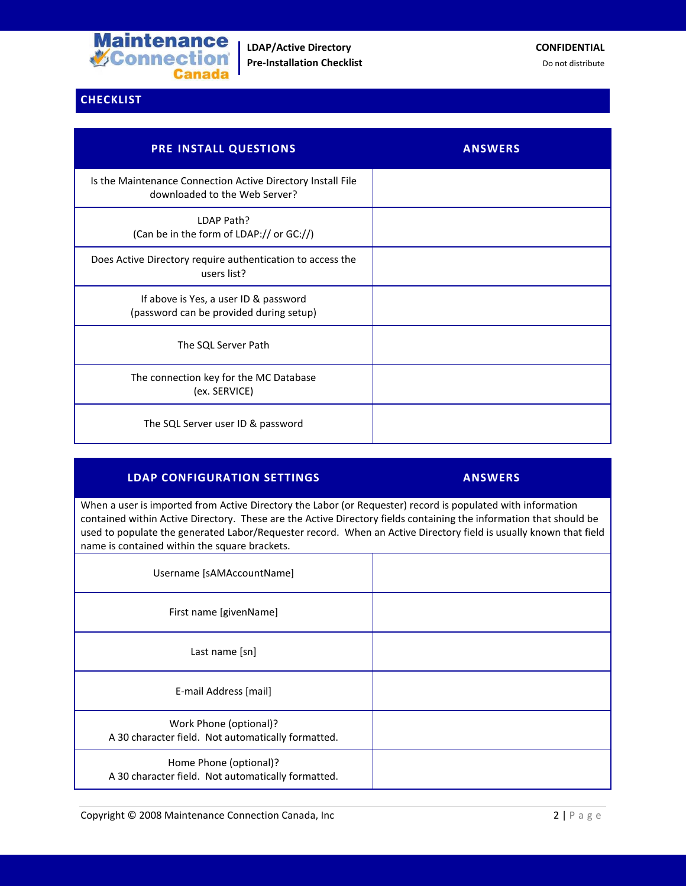

# **CHECKLIST**

| PRE INSTALL QUESTIONS                                                                        | <b>ANSWERS</b> |
|----------------------------------------------------------------------------------------------|----------------|
| Is the Maintenance Connection Active Directory Install File<br>downloaded to the Web Server? |                |
| LDAP Path?<br>(Can be in the form of LDAP:// or GC://)                                       |                |
| Does Active Directory require authentication to access the<br>users list?                    |                |
| If above is Yes, a user ID & password<br>(password can be provided during setup)             |                |
| The SQL Server Path                                                                          |                |
| The connection key for the MC Database<br>(ex. SERVICE)                                      |                |
| The SQL Server user ID & password                                                            |                |

# **LDAP CONFIGURATION SETTINGS ANSWERS**

When a user is imported from Active Directory the Labor (or Requester) record is populated with information contained within Active Directory. These are the Active Directory fields containing the information that should be used to populate the generated Labor/Requester record. When an Active Directory field is usually known that field name is contained within the square brackets.

| Username [sAMAccountName]                                                    |  |
|------------------------------------------------------------------------------|--|
| First name [givenName]                                                       |  |
| Last name [sn]                                                               |  |
| E-mail Address [mail]                                                        |  |
| Work Phone (optional)?<br>A 30 character field. Not automatically formatted. |  |
| Home Phone (optional)?<br>A 30 character field. Not automatically formatted. |  |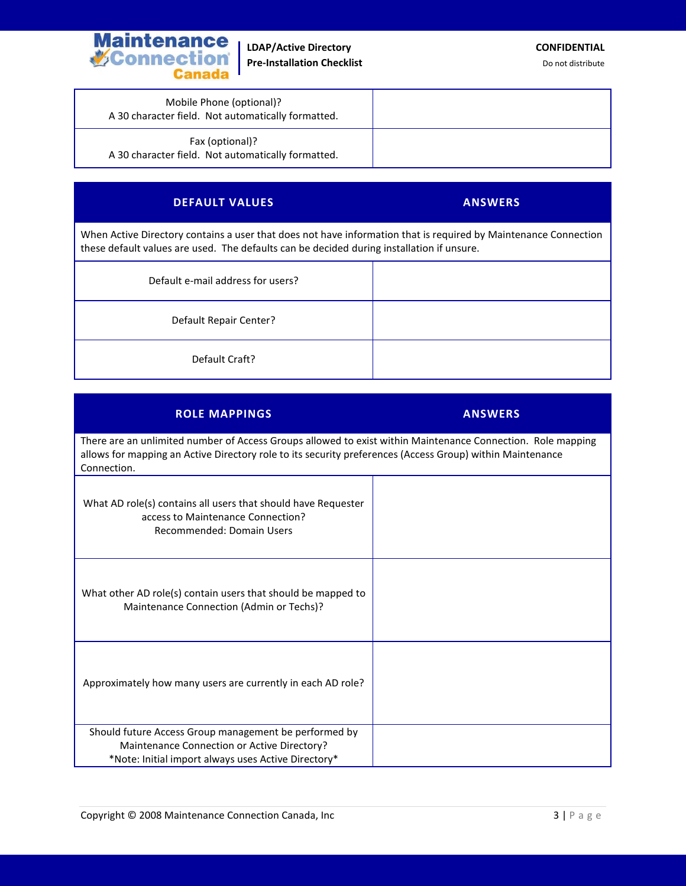

**LDAP/Active Directory CONFIDENTIAL Pre-Installation Checklist Do not distribute** Do not distribute

Mobile Phone (optional)? A 30 character field. Not automatically formatted.

Fax (optional)? A 30 character field. Not automatically formatted.

# **DEFAULT VALUES ANSWERS**

When Active Directory contains a user that does not have information that is required by Maintenance Connection these default values are used. The defaults can be decided during installation if unsure.

| Default e-mail address for users? |  |
|-----------------------------------|--|
| Default Repair Center?            |  |
| Default Craft?                    |  |

# **ROLE MAPPINGS ANSWERS**

There are an unlimited number of Access Groups allowed to exist within Maintenance Connection. Role mapping allows for mapping an Active Directory role to its security preferences (Access Group) within Maintenance Connection.

| What AD role(s) contains all users that should have Requester<br>access to Maintenance Connection?<br>Recommended: Domain Users |  |
|---------------------------------------------------------------------------------------------------------------------------------|--|
| What other AD role(s) contain users that should be mapped to<br>Maintenance Connection (Admin or Techs)?                        |  |
| Approximately how many users are currently in each AD role?                                                                     |  |
| Should future Access Group management be performed by                                                                           |  |
| Maintenance Connection or Active Directory?<br>*Note: Initial import always uses Active Directory*                              |  |
|                                                                                                                                 |  |